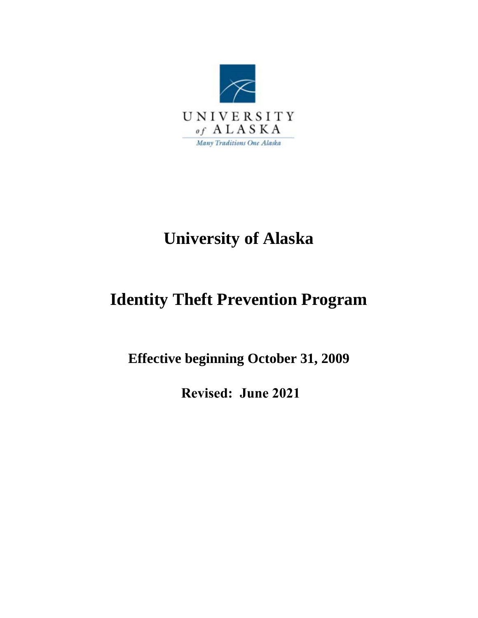

# **University of Alaska**

# **Identity Theft Prevention Program**

**Effective beginning October 31, 2009**

**Revised: June 2021**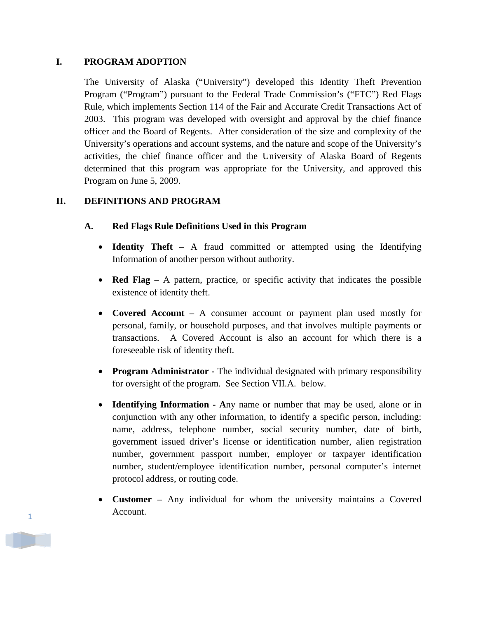## **I. PROGRAM ADOPTION**

The University of Alaska ("University") developed this Identity Theft Prevention Program ("Program") pursuant to the Federal Trade Commission's ("FTC") Red Flags Rule, which implements Section 114 of the Fair and Accurate Credit Transactions Act of 2003. This program was developed with oversight and approval by the chief finance officer and the Board of Regents. After consideration of the size and complexity of the University's operations and account systems, and the nature and scope of the University's activities, the chief finance officer and the University of Alaska Board of Regents determined that this program was appropriate for the University, and approved this Program on June 5, 2009.

## **II. DEFINITIONS AND PROGRAM**

## **A. Red Flags Rule Definitions Used in this Program**

- **Identity Theft** A fraud committed or attempted using the Identifying Information of another person without authority.
- **Red Flag** A pattern, practice, or specific activity that indicates the possible existence of identity theft.
- **Covered Account** A consumer account or payment plan used mostly for personal, family, or household purposes, and that involves multiple payments or transactions. A Covered Account is also an account for which there is a foreseeable risk of identity theft.
- **Program Administrator -** The individual designated with primary responsibility for oversight of the program. See Section VII.A. below.
- **Identifying Information A**ny name or number that may be used, alone or in conjunction with any other information, to identify a specific person, including: name, address, telephone number, social security number, date of birth, government issued driver's license or identification number, alien registration number, government passport number, employer or taxpayer identification number, student/employee identification number, personal computer's internet protocol address, or routing code.
- **Customer** Any individual for whom the university maintains a Covered Account.

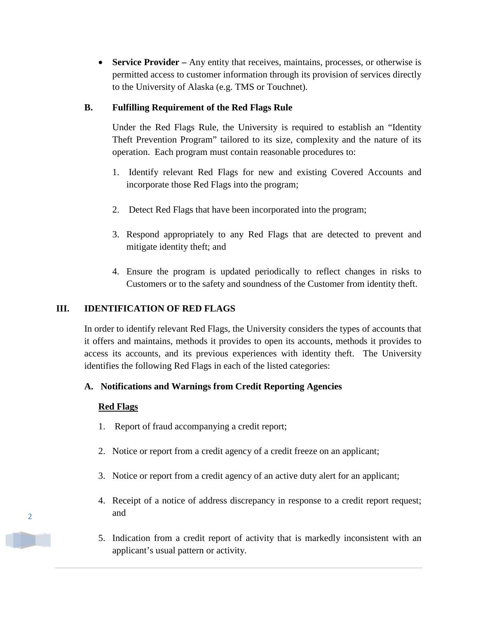• **Service Provider** – Any entity that receives, maintains, processes, or otherwise is permitted access to customer information through its provision of services directly to the University of Alaska (e.g. TMS or Touchnet).

## **B. Fulfilling Requirement of the Red Flags Rule**

Under the Red Flags Rule, the University is required to establish an "Identity Theft Prevention Program" tailored to its size, complexity and the nature of its operation. Each program must contain reasonable procedures to:

- 1. Identify relevant Red Flags for new and existing Covered Accounts and incorporate those Red Flags into the program;
- 2. Detect Red Flags that have been incorporated into the program;
- 3. Respond appropriately to any Red Flags that are detected to prevent and mitigate identity theft; and
- 4. Ensure the program is updated periodically to reflect changes in risks to Customers or to the safety and soundness of the Customer from identity theft.

# **III. IDENTIFICATION OF RED FLAGS**

In order to identify relevant Red Flags, the University considers the types of accounts that it offers and maintains, methods it provides to open its accounts, methods it provides to access its accounts, and its previous experiences with identity theft. The University identifies the following Red Flags in each of the listed categories:

## **A. Notifications and Warnings from Credit Reporting Agencies**

#### **Red Flags**

- 1. Report of fraud accompanying a credit report;
- 2. Notice or report from a credit agency of a credit freeze on an applicant;
- 3. Notice or report from a credit agency of an active duty alert for an applicant;
- 4. Receipt of a notice of address discrepancy in response to a credit report request; and
- 5. Indication from a credit report of activity that is markedly inconsistent with an applicant's usual pattern or activity.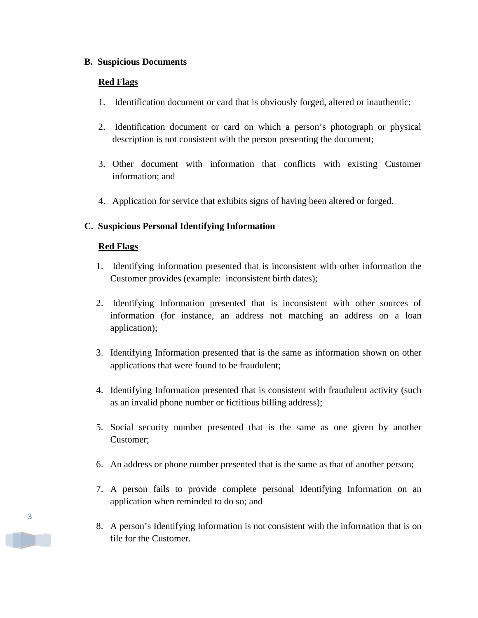#### **B. Suspicious Documents**

#### **Red Flags**

- 1. Identification document or card that is obviously forged, altered or inauthentic;
- 2. Identification document or card on which a person's photograph or physical description is not consistent with the person presenting the document;
- 3. Other document with information that conflicts with existing Customer information; and
- 4. Application for service that exhibits signs of having been altered or forged.

## **C. Suspicious Personal Identifying Information**

#### **Red Flags**

- 1. Identifying Information presented that is inconsistent with other information the Customer provides (example: inconsistent birth dates);
- 2. Identifying Information presented that is inconsistent with other sources of information (for instance, an address not matching an address on a loan application);
- 3. Identifying Information presented that is the same as information shown on other applications that were found to be fraudulent;
- 4. Identifying Information presented that is consistent with fraudulent activity (such as an invalid phone number or fictitious billing address);
- 5. Social security number presented that is the same as one given by another Customer;
- 6. An address or phone number presented that is the same as that of another person;
- 7. A person fails to provide complete personal Identifying Information on an application when reminded to do so; and
- 8. A person's Identifying Information is not consistent with the information that is on file for the Customer.

3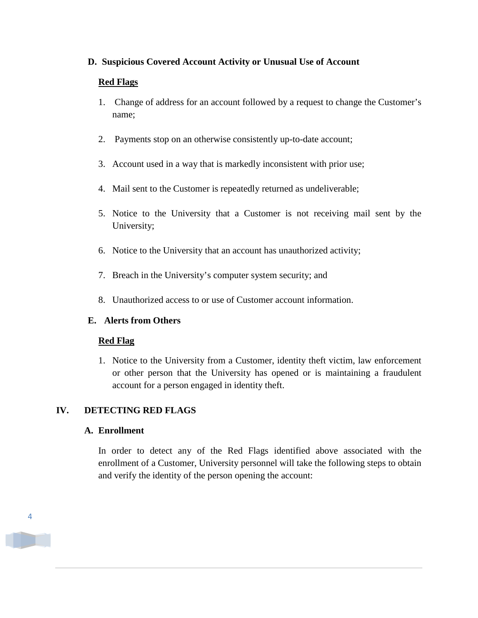## **D. Suspicious Covered Account Activity or Unusual Use of Account**

## **Red Flags**

- 1. Change of address for an account followed by a request to change the Customer's name;
- 2. Payments stop on an otherwise consistently up-to-date account;
- 3. Account used in a way that is markedly inconsistent with prior use;
- 4. Mail sent to the Customer is repeatedly returned as undeliverable;
- 5. Notice to the University that a Customer is not receiving mail sent by the University;
- 6. Notice to the University that an account has unauthorized activity;
- 7. Breach in the University's computer system security; and
- 8. Unauthorized access to or use of Customer account information.

#### **E. Alerts from Others**

#### **Red Flag**

1. Notice to the University from a Customer, identity theft victim, law enforcement or other person that the University has opened or is maintaining a fraudulent account for a person engaged in identity theft.

## **IV. DETECTING RED FLAGS**

#### **A. Enrollment**

In order to detect any of the Red Flags identified above associated with the enrollment of a Customer, University personnel will take the following steps to obtain and verify the identity of the person opening the account:

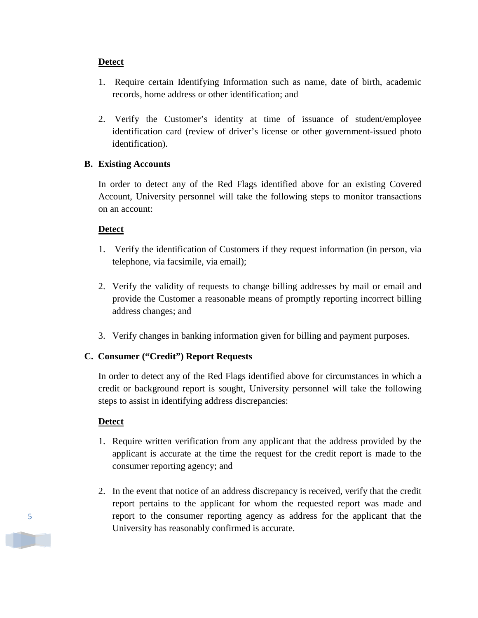## **Detect**

- 1. Require certain Identifying Information such as name, date of birth, academic records, home address or other identification; and
- 2. Verify the Customer's identity at time of issuance of student/employee identification card (review of driver's license or other government-issued photo identification).

## **B. Existing Accounts**

In order to detect any of the Red Flags identified above for an existing Covered Account, University personnel will take the following steps to monitor transactions on an account:

## **Detect**

- 1. Verify the identification of Customers if they request information (in person, via telephone, via facsimile, via email);
- 2. Verify the validity of requests to change billing addresses by mail or email and provide the Customer a reasonable means of promptly reporting incorrect billing address changes; and
- 3. Verify changes in banking information given for billing and payment purposes.

## **C. Consumer ("Credit") Report Requests**

In order to detect any of the Red Flags identified above for circumstances in which a credit or background report is sought, University personnel will take the following steps to assist in identifying address discrepancies:

#### **Detect**

- 1. Require written verification from any applicant that the address provided by the applicant is accurate at the time the request for the credit report is made to the consumer reporting agency; and
- 2. In the event that notice of an address discrepancy is received, verify that the credit report pertains to the applicant for whom the requested report was made and report to the consumer reporting agency as address for the applicant that the University has reasonably confirmed is accurate.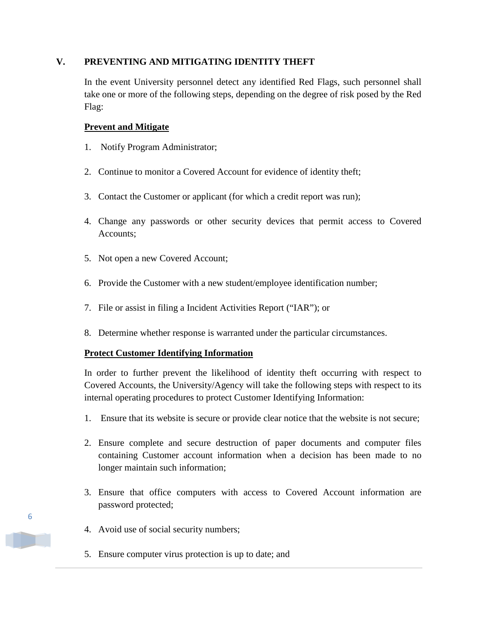## **V. PREVENTING AND MITIGATING IDENTITY THEFT**

In the event University personnel detect any identified Red Flags, such personnel shall take one or more of the following steps, depending on the degree of risk posed by the Red Flag:

### **Prevent and Mitigate**

- 1. Notify Program Administrator;
- 2. Continue to monitor a Covered Account for evidence of identity theft;
- 3. Contact the Customer or applicant (for which a credit report was run);
- 4. Change any passwords or other security devices that permit access to Covered Accounts;
- 5. Not open a new Covered Account;
- 6. Provide the Customer with a new student/employee identification number;
- 7. File or assist in filing a Incident Activities Report ("IAR"); or
- 8. Determine whether response is warranted under the particular circumstances.

#### **Protect Customer Identifying Information**

In order to further prevent the likelihood of identity theft occurring with respect to Covered Accounts, the University/Agency will take the following steps with respect to its internal operating procedures to protect Customer Identifying Information:

- 1. Ensure that its website is secure or provide clear notice that the website is not secure;
- 2. Ensure complete and secure destruction of paper documents and computer files containing Customer account information when a decision has been made to no longer maintain such information;
- 3. Ensure that office computers with access to Covered Account information are password protected;
- 4. Avoid use of social security numbers;
- 5. Ensure computer virus protection is up to date; and

6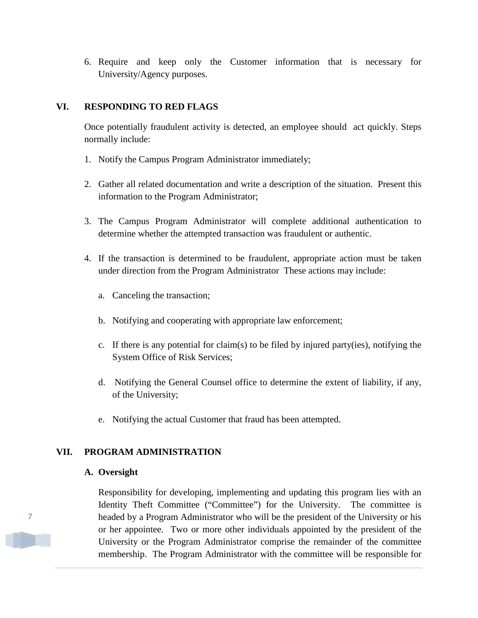6. Require and keep only the Customer information that is necessary for University/Agency purposes.

## **VI. RESPONDING TO RED FLAGS**

Once potentially fraudulent activity is detected, an employee should act quickly. Steps normally include:

- 1. Notify the Campus Program Administrator immediately;
- 2. Gather all related documentation and write a description of the situation. Present this information to the Program Administrator;
- 3. The Campus Program Administrator will complete additional authentication to determine whether the attempted transaction was fraudulent or authentic.
- 4. If the transaction is determined to be fraudulent, appropriate action must be taken under direction from the Program Administrator These actions may include:
	- a. Canceling the transaction;
	- b. Notifying and cooperating with appropriate law enforcement;
	- c. If there is any potential for claim(s) to be filed by injured party(ies), notifying the System Office of Risk Services;
	- d. Notifying the General Counsel office to determine the extent of liability, if any, of the University;
	- e. Notifying the actual Customer that fraud has been attempted.

## **VII. PROGRAM ADMINISTRATION**

#### **A. Oversight**

7

Responsibility for developing, implementing and updating this program lies with an Identity Theft Committee ("Committee") for the University. The committee is headed by a Program Administrator who will be the president of the University or his or her appointee. Two or more other individuals appointed by the president of the University or the Program Administrator comprise the remainder of the committee membership. The Program Administrator with the committee will be responsible for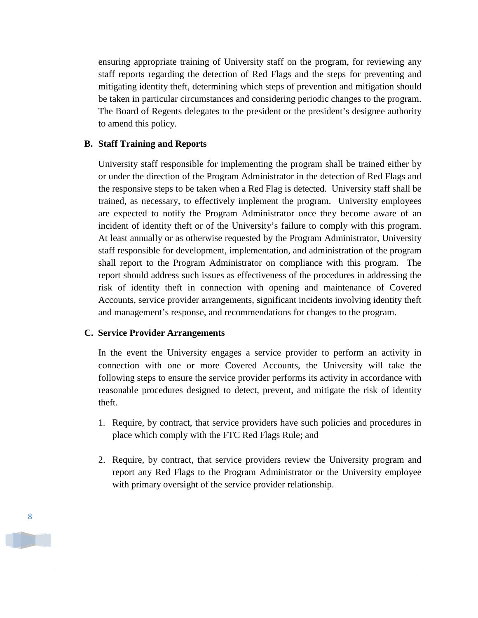ensuring appropriate training of University staff on the program, for reviewing any staff reports regarding the detection of Red Flags and the steps for preventing and mitigating identity theft, determining which steps of prevention and mitigation should be taken in particular circumstances and considering periodic changes to the program. The Board of Regents delegates to the president or the president's designee authority to amend this policy.

#### **B. Staff Training and Reports**

University staff responsible for implementing the program shall be trained either by or under the direction of the Program Administrator in the detection of Red Flags and the responsive steps to be taken when a Red Flag is detected. University staff shall be trained, as necessary, to effectively implement the program. University employees are expected to notify the Program Administrator once they become aware of an incident of identity theft or of the University's failure to comply with this program. At least annually or as otherwise requested by the Program Administrator, University staff responsible for development, implementation, and administration of the program shall report to the Program Administrator on compliance with this program. The report should address such issues as effectiveness of the procedures in addressing the risk of identity theft in connection with opening and maintenance of Covered Accounts, service provider arrangements, significant incidents involving identity theft and management's response, and recommendations for changes to the program.

#### **C. Service Provider Arrangements**

In the event the University engages a service provider to perform an activity in connection with one or more Covered Accounts, the University will take the following steps to ensure the service provider performs its activity in accordance with reasonable procedures designed to detect, prevent, and mitigate the risk of identity theft.

- 1. Require, by contract, that service providers have such policies and procedures in place which comply with the FTC Red Flags Rule; and
- 2. Require, by contract, that service providers review the University program and report any Red Flags to the Program Administrator or the University employee with primary oversight of the service provider relationship.